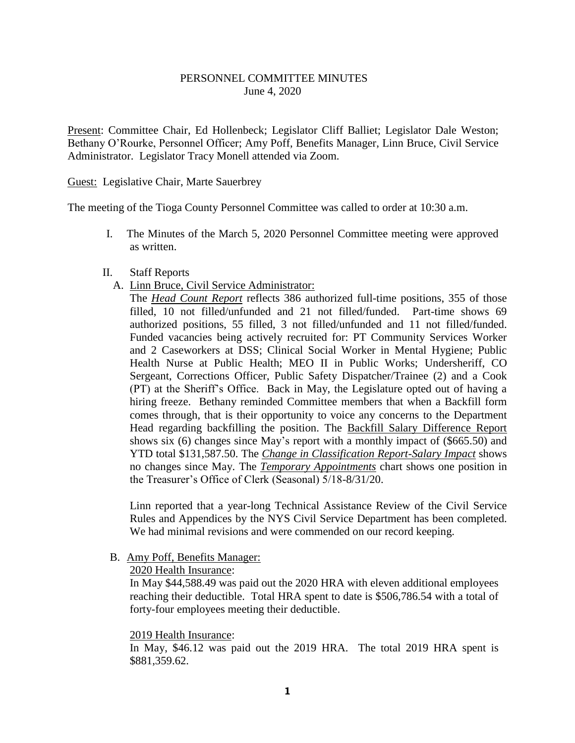# PERSONNEL COMMITTEE MINUTES June 4, 2020

Present: Committee Chair, Ed Hollenbeck; Legislator Cliff Balliet; Legislator Dale Weston; Bethany O'Rourke, Personnel Officer; Amy Poff, Benefits Manager, Linn Bruce, Civil Service Administrator. Legislator Tracy Monell attended via Zoom.

### Guest: Legislative Chair, Marte Sauerbrey

The meeting of the Tioga County Personnel Committee was called to order at 10:30 a.m.

- I. The Minutes of the March 5, 2020 Personnel Committee meeting were approved as written.
- II. Staff Reports
	- A. Linn Bruce, Civil Service Administrator:

The *Head Count Report* reflects 386 authorized full-time positions, 355 of those filled, 10 not filled/unfunded and 21 not filled/funded. Part-time shows 69 authorized positions, 55 filled, 3 not filled/unfunded and 11 not filled/funded. Funded vacancies being actively recruited for: PT Community Services Worker and 2 Caseworkers at DSS; Clinical Social Worker in Mental Hygiene; Public Health Nurse at Public Health; MEO II in Public Works; Undersheriff, CO Sergeant, Corrections Officer, Public Safety Dispatcher/Trainee (2) and a Cook (PT) at the Sheriff's Office. Back in May, the Legislature opted out of having a hiring freeze. Bethany reminded Committee members that when a Backfill form comes through, that is their opportunity to voice any concerns to the Department Head regarding backfilling the position. The Backfill Salary Difference Report shows six (6) changes since May's report with a monthly impact of (\$665.50) and YTD total \$131,587.50. The *Change in Classification Report-Salary Impact* shows no changes since May. The *Temporary Appointments* chart shows one position in the Treasurer's Office of Clerk (Seasonal) 5/18-8/31/20.

Linn reported that a year-long Technical Assistance Review of the Civil Service Rules and Appendices by the NYS Civil Service Department has been completed. We had minimal revisions and were commended on our record keeping.

# B. Amy Poff, Benefits Manager:

2020 Health Insurance:

In May \$44,588.49 was paid out the 2020 HRA with eleven additional employees reaching their deductible. Total HRA spent to date is \$506,786.54 with a total of forty-four employees meeting their deductible.

### 2019 Health Insurance:

In May, \$46.12 was paid out the 2019 HRA. The total 2019 HRA spent is \$881,359.62.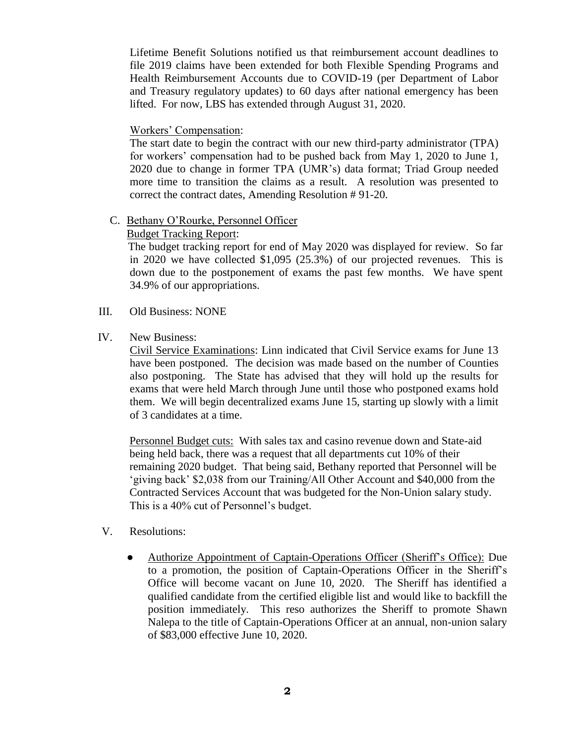Lifetime Benefit Solutions notified us that reimbursement account deadlines to file 2019 claims have been extended for both Flexible Spending Programs and Health Reimbursement Accounts due to COVID-19 (per Department of Labor and Treasury regulatory updates) to 60 days after national emergency has been lifted. For now, LBS has extended through August 31, 2020.

### Workers' Compensation:

The start date to begin the contract with our new third-party administrator (TPA) for workers' compensation had to be pushed back from May 1, 2020 to June 1, 2020 due to change in former TPA (UMR's) data format; Triad Group needed more time to transition the claims as a result. A resolution was presented to correct the contract dates, Amending Resolution # 91-20.

#### C. Bethany O'Rourke, Personnel Officer

### Budget Tracking Report:

 The budget tracking report for end of May 2020 was displayed for review. So far in 2020 we have collected \$1,095 (25.3%) of our projected revenues. This is down due to the postponement of exams the past few months. We have spent 34.9% of our appropriations.

- III. Old Business: NONE
- IV. New Business:

Civil Service Examinations: Linn indicated that Civil Service exams for June 13 have been postponed. The decision was made based on the number of Counties also postponing. The State has advised that they will hold up the results for exams that were held March through June until those who postponed exams hold them. We will begin decentralized exams June 15, starting up slowly with a limit of 3 candidates at a time.

Personnel Budget cuts: With sales tax and casino revenue down and State-aid being held back, there was a request that all departments cut 10% of their remaining 2020 budget. That being said, Bethany reported that Personnel will be 'giving back' \$2,038 from our Training/All Other Account and \$40,000 from the Contracted Services Account that was budgeted for the Non-Union salary study. This is a 40% cut of Personnel's budget.

- V. Resolutions:
	- Authorize Appointment of Captain-Operations Officer (Sheriff's Office): Due to a promotion, the position of Captain-Operations Officer in the Sheriff's Office will become vacant on June 10, 2020. The Sheriff has identified a qualified candidate from the certified eligible list and would like to backfill the position immediately. This reso authorizes the Sheriff to promote Shawn Nalepa to the title of Captain-Operations Officer at an annual, non-union salary of \$83,000 effective June 10, 2020.